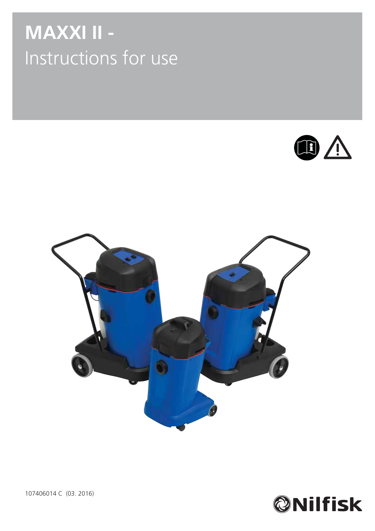# **MAXXI II -**  Instructions for use







107406014 C (03. 2016)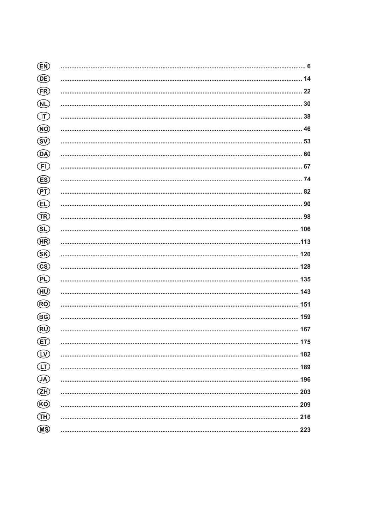| (EN)                                  |     |
|---------------------------------------|-----|
| (DE)                                  |     |
| <b>ER</b>                             |     |
| $\bigcirc$                            |     |
| $\bigcirc$                            |     |
| $\circledR$                           |     |
| $\circledS$                           |     |
| <b>DA</b>                             |     |
| $\bigoplus$                           |     |
| (ES)                                  |     |
| $\left(\overline{\mathsf{PT}}\right)$ |     |
| <b>EL</b>                             |     |
| $\bigoplus$                           |     |
| $\bigcirc$                            |     |
| (HR)                                  |     |
| $\circled{s}$                         |     |
| <b>CS</b>                             |     |
| $\bigoplus$                           |     |
| (HU)                                  |     |
| $\circledR$                           |     |
| (BG)                                  |     |
| (RU)                                  |     |
| (ET)                                  |     |
| LV                                    | 182 |
| ίŢ                                    |     |
| $\bigcirc$                            |     |
| <b>EH</b>                             |     |
| $\circled{k}$                         |     |
| ্যা                                   |     |
| (MS)                                  |     |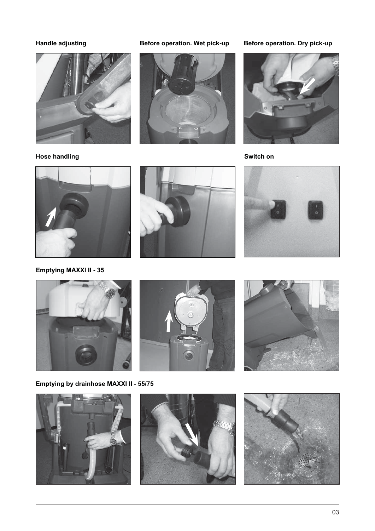# **Handle adjusting**



**Hose handling**

# Before operation. Wet pick-up Before operation. Dry pick-up





**Switch on**



**Emptying MAXXI II - 35** 











**Emptying by drainhose MAXXI II - 55/75**





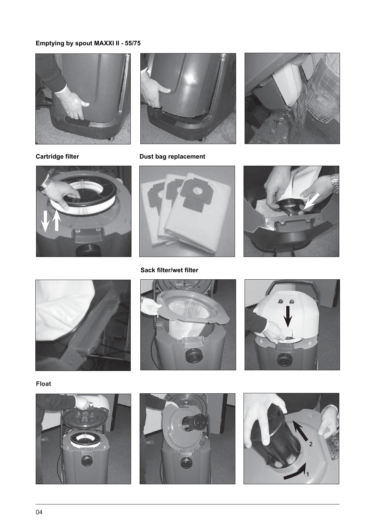# **Emptying by spout MAXXI II - 55/75**





**Cartridge filter**



**Dust bag replacement**



**Sack filter/wet filter**











**Float**





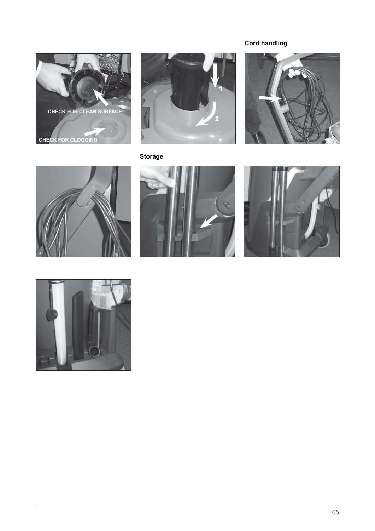# **Cord handling**





# **Storage**









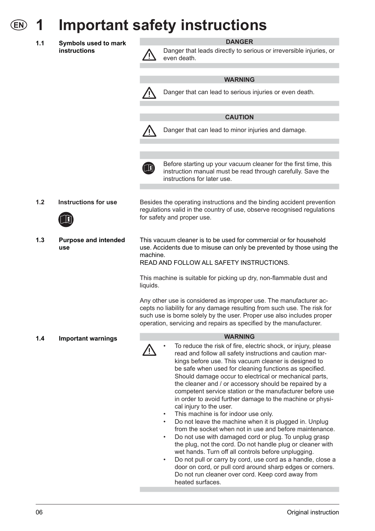# **1 Important safety instructions**

**1.1 Symbols used to mark instructions**

# **DANGER**

Danger that leads directly to serious or irreversible injuries, or even death.

- **WARNING** Danger that can lead to serious injuries or even death. **CAUTION** Danger that can lead to minor injuries and damage. Before starting up your vacuum cleaner for the first time, this <u>ון</u> instruction manual must be read through carefully. Save the instructions for later use.**1.2 Instructions for use** Besides the operating instructions and the binding accident prevention regulations valid in the country of use, observe recognised regulations for safety and proper use. **1.3 Purpose and intended**  This vacuum cleaner is to be used for commercial or for household use. Accidents due to misuse can only be prevented by those using the machine. READ AND FOLLOW ALL SAFETY INSTRUCTIONS. This machine is suitable for picking up dry, non-flammable dust and liquids. Any other use is considered as improper use. The manufacturer accepts no liability for any damage resulting from such use. The risk for such use is borne solely by the user. Proper use also includes proper operation, servicing and repairs as specified by the manufacturer. **WARNING 1.4 Important warnings** To reduce the risk of fire, electric shock, or injury, please read and follow all safety instructions and caution markings before use. This vacuum cleaner is designed to be safe when used for cleaning functions as specified. Should damage occur to electrical or mechanical parts, the cleaner and / or accessory should be repaired by a competent service station or the manufacturer before use
	- cal injury to the user. This machine is for indoor use only.
	- Do not leave the machine when it is plugged in. Unplug from the socket when not in use and before maintenance.

in order to avoid further damage to the machine or physi-

- Do not use with damaged cord or plug. To unplug grasp the plug, not the cord. Do not handle plug or cleaner with wet hands. Turn off all controls before unplugging.
- Do not pull or carry by cord, use cord as a handle, close a door on cord, or pull cord around sharp edges or corners. Do not run cleaner over cord. Keep cord away from heated surfaces.

**use**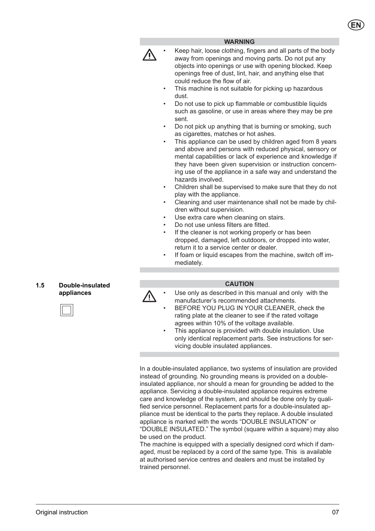# **WARNING**

• Keep hair, loose clothing, fingers and all parts of the body away from openings and moving parts. Do not put any objects into openings or use with opening blocked. Keep openings free of dust, lint, hair, and anything else that could reduce the flow of air.

- This machine is not suitable for picking up hazardous dust.
- Do not use to pick up flammable or combustible liquids such as gasoline, or use in areas where they may be pre sent.
- Do not pick up anything that is burning or smoking, such as cigarettes, matches or hot ashes.
- This appliance can be used by children aged from 8 years and above and persons with reduced physical, sensory or mental capabilities or lack of experience and knowledge if they have been given supervision or instruction concerning use of the appliance in a safe way and understand the hazards involved.
- Children shall be supervised to make sure that they do not play with the appliance.
- Cleaning and user maintenance shall not be made by children without supervision.
- Use extra care when cleaning on stairs.
- Do not use unless filters are fitted.
- If the cleaner is not working properly or has been dropped, da maged, left outdoors, or dropped into water, return it to a service center or dealer.
- If foam or liquid escapes from the machine, switch off immediately.

# **1.5 Double-insulated appliances**

# **CAUTION**

- Use only as described in this manual and only with the manufacturer's recommended attachments.
- BEFORE YOU PLUG IN YOUR CLEANER, check the rating plate at the cleaner to see if the rated voltage agrees within 10% of the voltage available.
- This appliance is provided with double insulation. Use only identical replacement parts. See instructions for servicing double insulated appliances.

In a double-insulated appliance, two systems of insulation are provided instead of grounding. No grounding means is provided on a doubleinsulated appliance, nor should a mean for grounding be added to the appliance. Servicing a double-insulated appliance requires extreme care and knowledge of the system, and should be done only by qualified service personnel. Replacement parts for a double-insulated appliance must be identical to the parts they replace. A double insulated appliance is marked with the words "DOUBLE INSULATION" or "DOUBLE INSULATED." The symbol (square within a square) may also be used on the product.

The machine is equipped with a specially designed cord which if damaged, must be replaced by a cord of the same type. This is available at authorised service centres and dealers and must be installed by trained personnel.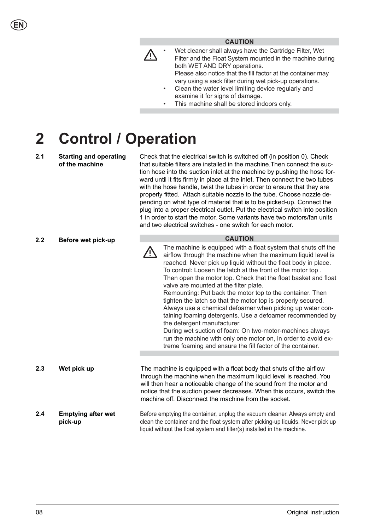# **CAUTION**

- ΛŊ
	- Wet cleaner shall always have the Cartridge Filter, Wet Filter and the Float System mounted in the machine during both WET AND DRY operations.

Please also notice that the fill factor at the container may vary using a sack filter during wet pick-up operations.

- Clean the water level limiting device regularly and examine it for signs of damage.
- This machine shall be stored indoors only.

# **2 Control / Operation**

# **2.1 Starting and operating of the machine**

Check that the electrical switch is switched off (in position 0). Check that suitable filters are installed in the machine.Then connect the suction hose into the suction inlet at the machine by pushing the hose forward until it fits firmly in place at the inlet. Then connect the two tubes with the hose handle, twist the tubes in order to ensure that they are properly fitted. Attach suitable nozzle to the tube. Choose nozzle depending on what type of material that is to be picked-up. Connect the plug into a proper electrical outlet. Put the electrical switch into position 1 in order to start the motor. Some variants have two motors/fan units and two electrical switches - one switch for each motor.

| 2.2 | Before wet pick-up                   | <b>CAUTION</b>                                                                                                                                                                                                                                                                                                                                                                                                                                                                                                                                                                                                                                                                                                                                                                                                                                               |
|-----|--------------------------------------|--------------------------------------------------------------------------------------------------------------------------------------------------------------------------------------------------------------------------------------------------------------------------------------------------------------------------------------------------------------------------------------------------------------------------------------------------------------------------------------------------------------------------------------------------------------------------------------------------------------------------------------------------------------------------------------------------------------------------------------------------------------------------------------------------------------------------------------------------------------|
|     |                                      | The machine is equipped with a float system that shuts off the<br>airflow through the machine when the maximum liquid level is<br>reached. Never pick up liquid without the float body in place.<br>To control: Loosen the latch at the front of the motor top.<br>Then open the motor top. Check that the float basket and float<br>valve are mounted at the filter plate.<br>Remounting: Put back the motor top to the container. Then<br>tighten the latch so that the motor top is properly secured.<br>Always use a chemical defoamer when picking up water con-<br>taining foaming detergents. Use a defoamer recommended by<br>the detergent manufacturer.<br>During wet suction of foam: On two-motor-machines always<br>run the machine with only one motor on, in order to avoid ex-<br>treme foaming and ensure the fill factor of the container. |
|     |                                      |                                                                                                                                                                                                                                                                                                                                                                                                                                                                                                                                                                                                                                                                                                                                                                                                                                                              |
| 2.3 | Wet pick up                          | The machine is equipped with a float body that shuts of the airflow<br>through the machine when the maximum liquid level is reached. You<br>will then hear a noticeable change of the sound from the motor and<br>notice that the suction power decreases. When this occurs, switch the<br>machine off. Disconnect the machine from the socket.                                                                                                                                                                                                                                                                                                                                                                                                                                                                                                              |
| 2.4 | <b>Emptying after wet</b><br>pick-up | Before emptying the container, unplug the vacuum cleaner. Always empty and<br>clean the container and the float system after picking-up liquids. Never pick up<br>liquid without the float system and filter(s) installed in the machine.                                                                                                                                                                                                                                                                                                                                                                                                                                                                                                                                                                                                                    |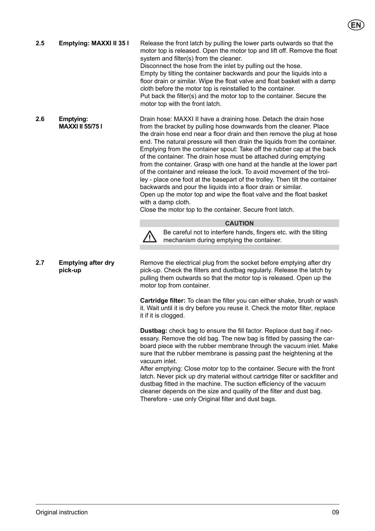Drain hose: MAXXI II have a draining hose. Detach the drain hose from the bracket by pulling hose downwards from the cleaner. Place the drain hose end near a floor drain and then remove the plug at hose end. The natural pressure will then drain the liquids from the container. Emptying from the container spout: Take off the rubber cap at the back of the container. The drain hose must be attached during emptying from the container. Grasp with one hand at the handle at the lower part of the container and release the lock. To avoid movement of the trolley - place one foot at the basepart of the trolley. Then tilt the container backwards and pour the liquids into a floor drain or similar. Open up the motor top and wipe the float valve and the float basket with a damp cloth. Close the motor top to the container. Secure front latch. **2.5 Emptying: MAXXI II 35 l** Release the front latch by pulling the lower parts outwards so that the motor top is released. Open the motor top and lift off. Remove the float system and filter(s) from the cleaner. Disconnect the hose from the inlet by pulling out the hose. Empty by tilting the container backwards and pour the liquids into a floor drain or similar. Wipe the float valve and float basket with a damp cloth before the motor top is reinstalled to the container. Put back the filter(s) and the motor top to the container. Secure the motor top with the front latch. **2.6 Emptying: MAXXI II 55/75 l** 

# **CAUTION**



Be careful not to interfere hands, fingers etc. with the tilting mechanism during emptying the container.

**2.7 Emptying after dry pick-up** 

Remove the electrical plug from the socket before emptying after dry pick-up. Check the filters and dustbag regularly. Release the latch by pulling them outwards so that the motor top is released. Open up the motor top from container.

**Cartridge filter:** To clean the filter you can either shake, brush or wash it. Wait until it is dry before you reuse it. Check the motor filter, replace it if it is clogged.

**Dustbag:** check bag to ensure the fill factor. Replace dust bag if necessary. Remove the old bag. The new bag is fitted by passing the carboard piece with the rubber membrane through the vacuum inlet. Make sure that the rubber membrane is passing past the heightening at the vacuum inlet.

After emptying: Close motor top to the container. Secure with the front latch. Never pick up dry material without cartridge filter or sackfilter and dustbag fitted in the machine. The suction efficiency of the vacuum cleaner depends on the size and quality of the filter and dust bag. Therefore - use only Original filter and dust bags.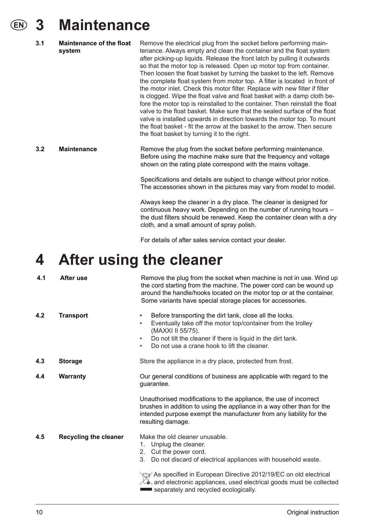# **3 Maintenance**

| 3.1 | <b>Maintenance of the float</b><br>system | Remove the electrical plug from the socket before performing main-<br>tenance. Always empty and clean the container and the float system<br>after picking-up liquids. Release the front latch by pulling it outwards<br>so that the motor top is released. Open up motor top from container.<br>Then loosen the float basket by turning the basket to the left. Remove<br>the complete float system from motor top. A filter is located in front of<br>the motor inlet. Check this motor filter. Replace with new filter if filter<br>is clogged. Wipe the float valve and float basket with a damp cloth be-<br>fore the motor top is reinstalled to the container. Then reinstall the float<br>valve to the float basket. Make sure that the sealed surface of the float<br>valve is installed upwards in direction towards the motor top. To mount<br>the float basket - fit the arrow at the basket to the arrow. Then secure<br>the float basket by turning it to the right. |
|-----|-------------------------------------------|-----------------------------------------------------------------------------------------------------------------------------------------------------------------------------------------------------------------------------------------------------------------------------------------------------------------------------------------------------------------------------------------------------------------------------------------------------------------------------------------------------------------------------------------------------------------------------------------------------------------------------------------------------------------------------------------------------------------------------------------------------------------------------------------------------------------------------------------------------------------------------------------------------------------------------------------------------------------------------------|
| 3.2 | <b>Maintenance</b>                        | Remove the plug from the socket before performing maintenance.<br>Before using the machine make sure that the frequency and voltage<br>shown on the rating plate correspond with the mains voltage.                                                                                                                                                                                                                                                                                                                                                                                                                                                                                                                                                                                                                                                                                                                                                                               |

Specifications and details are subject to change without prior notice. The accessories shown in the pictures may vary from model to model.

Always keep the cleaner in a dry place. The cleaner is designed for continuous heavy work. Depending on the number of running hours – the dust filters should be renewed. Keep the container clean with a dry cloth, and a small amount of spray polish.

For details of after sales service contact your dealer.

# **4 After using the cleaner**

| 4.1 | After use                    | Remove the plug from the socket when machine is not in use. Wind up<br>the cord starting from the machine. The power cord can be wound up<br>around the handle/hooks located on the motor top or at the container.<br>Some variants have special storage places for accessories.                                 |
|-----|------------------------------|------------------------------------------------------------------------------------------------------------------------------------------------------------------------------------------------------------------------------------------------------------------------------------------------------------------|
| 4.2 | <b>Transport</b>             | Before transporting the dirt tank, close all the locks.<br>$\bullet$<br>Eventually take off the motor top/container from the trolley<br>$\bullet$<br>(MAXXI II 55/75).<br>Do not tilt the cleaner if there is liquid in the dirt tank.<br>$\bullet$<br>Do not use a crane hook to lift the cleaner.<br>$\bullet$ |
| 4.3 | <b>Storage</b>               | Store the appliance in a dry place, protected from frost.                                                                                                                                                                                                                                                        |
| 4.4 | <b>Warranty</b>              | Our general conditions of business are applicable with regard to the<br>guarantee.                                                                                                                                                                                                                               |
|     |                              | Unauthorised modifications to the appliance, the use of incorrect<br>brushes in addition to using the appliance in a way other than for the<br>intended purpose exempt the manufacturer from any liability for the<br>resulting damage.                                                                          |
| 4.5 | <b>Recycling the cleaner</b> | Make the old cleaner unusable.<br>Unplug the cleaner.<br>1.<br>2.<br>Cut the power cord.<br>3.<br>Do not discard of electrical appliances with household waste.                                                                                                                                                  |
|     |                              | As specified in European Directive 2012/19/EC on old electrical<br>$\angle\blacktriangle$ and electronic appliances, used electrical goods must be collected                                                                                                                                                     |

separately and recycled ecologically.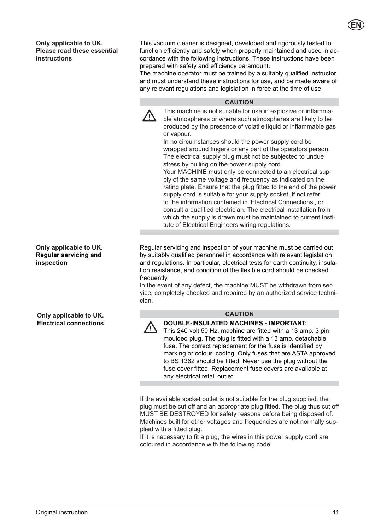**Only applicable to UK. Please read these essential instructions** 

This vacuum cleaner is designed, developed and rigorously tested to function efficiently and safely when properly maintained and used in accordance with the following instructions. These instructions have been prepared with safety and efficiency paramount.

The machine operator must be trained by a suitably qualified instructor and must understand these instructions for use, and be made aware of any relevant regulations and legislation in force at the time of use.

# **CAUTION**

This machine is not suitable for use in explosive or inflammable atmospheres or where such atmospheres are likely to be produced by the presence of volatile liquid or inflammable gas or vapour.

In no circumstances should the power supply cord be wrapped around fingers or any part of the operators person. The electrical supply plug must not be subjected to undue stress by pulling on the power supply cord.

Your MACHINE must only be connected to an electrical supply of the same voltage and frequency as indicated on the rating plate. Ensure that the plug fitted to the end of the power supply cord is suitable for your supply socket, if not refer to the information contained in 'Electrical Connections', or consult a qualified electrician. The electrical installation from which the supply is drawn must be maintained to current Institute of Electrical Engineers wiring regulations.

Regular servicing and inspection of your machine must be carried out by suitably qualified personnel in accordance with relevant legislation and regulations. In particular, electrical tests for earth continuity, insulation resistance, and condition of the flexible cord should be checked frequently.

In the event of any defect, the machine MUST be withdrawn from service, completely checked and repaired by an authorized service technician.



# **CAUTION**

**DOUBLE-INSULATED MACHINES - IMPORTANT:**

This 240 volt 50 Hz. machine are fitted with a 13 amp. 3 pin moulded plug. The plug is fitted with a 13 amp. detachable fuse. The correct replacement for the fuse is identified by marking or colour coding. Only fuses that are ASTA approved to BS 1362 should be fitted. Never use the plug without the fuse cover fitted. Replacement fuse covers are available at any electrical retail outlet.

If the available socket outlet is not suitable for the plug supplied, the plug must be cut off and an appropriate plug fitted. The plug thus cut off MUST BE DESTROYED for safety reasons before being disposed of. Machines built for other voltages and frequencies are not normally supplied with a fitted plug.

If it is necessary to fit a plug, the wires in this power supply cord are coloured in accordance with the following code:

**Only applicable to UK. Regular servicing and inspection** 

**Only applicable to UK. Electrical connections**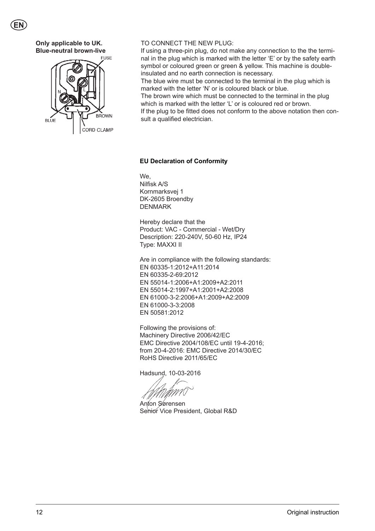

# **Only applicable to UK. Blue-neutral brown-live**



# TO CONNECT THE NEW PLUG:

If using a three-pin plug, do not make any connection to the the terminal in the plug which is marked with the letter 'E' or by the safety earth symbol or coloured green or green & yellow. This machine is doubleinsulated and no earth connection is necessary.

The blue wire must be connected to the terminal in the plug which is marked with the letter 'N' or is coloured black or blue.

The brown wire which must be connected to the terminal in the plug which is marked with the letter 'L' or is coloured red or brown. If the plug to be fitted does not conform to the above notation then consult a qualified electrician.

# **EU Declaration of Conformity**

We, Nilfisk A/S Kornmarksvej 1 DK-2605 Broendby DENMARK

Hereby declare that the Product: VAC - Commercial - Wet/Dry Description: 220-240V, 50-60 Hz, IP24 Type: MAXXI II

Are in compliance with the following standards: EN 60335-1:2012+A11:2014 EN 60335-2-69:2012 EN 55014-1:2006+A1:2009+A2:2011 EN 55014-2:1997+A1:2001+A2:2008 EN 61000-3-2:2006+A1:2009+A2:2009 EN 61000-3-3:2008 EN 50581:2012

Following the provisions of: Machinery Directive 2006/42/EC EMC Directive 2004/108/EC until 19-4-2016; from 20-4-2016: EMC Directive 2014/30/EC RoHS Directive 2011/65/EC

Hadsund, 10-03-2016

Anton Sørensen Senior Vice President, Global R&D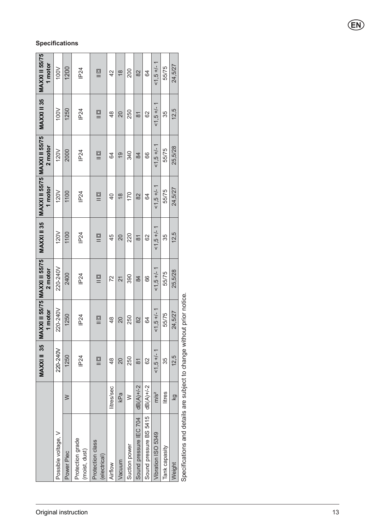|                                      |                  |                                                | MAXXI II 35   MAXXI II 55/75   MAXXI II 55/75  <br>1 motor | 2 motor       |              | MAXXI II 35 MAXXI II 55/75 MAXXI II 55/75<br>1 motor | 2 motor       | MAXXI II 35    | MAXXI II 55/75<br>1 motor |
|--------------------------------------|------------------|------------------------------------------------|------------------------------------------------------------|---------------|--------------|------------------------------------------------------|---------------|----------------|---------------------------|
| Possible voltage, V                  |                  | 220-240V                                       | 220-240V                                                   | 220-240V      | 120V         | 120V                                                 | 120V          | 100V           | 100V                      |
| Power Piec                           | $\geqslant$      | 1250                                           | 1250                                                       | 2400          | 1100         | 1100                                                 | 2000          | 1250           | 1200                      |
| Protection grade<br>(moist, dust)    |                  | <b>IP24</b>                                    | <b>IP24</b>                                                | <b>IP24</b>   | IP24         | <b>IP24</b>                                          | IP24          | <b>IP24</b>    | <b>IP24</b>               |
| Protection class<br>(electrical)     |                  | $\equiv$                                       | $\equiv$                                                   | $\equiv$      | $\equiv$     | $\equiv$                                             | $\equiv$      | $\equiv$       | $\equiv$                  |
| Airflow                              | litres/sec       | $\frac{8}{3}$                                  | $\frac{8}{4}$                                              | 72            | 45           | $\overline{4}$                                       | 64            | $\frac{8}{4}$  | 42                        |
| Vacuum                               | kPa              | 20                                             | 20                                                         | 21            | 20           | $\frac{8}{1}$                                        | $\frac{6}{1}$ | $\overline{0}$ | $\frac{8}{1}$             |
| Suction power                        | $\geq$           | 250                                            | 250                                                        | 390           | 220          | 170                                                  | 340           | 250            | 200                       |
| Sound pressure IEC 704               | dB(A)+/-2        | $\overline{8}$                                 | 82                                                         | 84            | δ            | 82                                                   | 84            | $\overline{8}$ | 82                        |
| Sound pressure BS 5415               | $dB(A)+/2$       | 8                                              | 64                                                         | 66            | 82           | 64                                                   | 89            | 62             | 64                        |
| Vibration ISO 5349                   | m/s <sup>2</sup> | $1.5 + 1 - 1$                                  | $1,5 +/- 1$                                                | $1,5 + 1 - 1$ | $1,5 +1 - 1$ | $1,5 +1 - 1$                                         | $1,5 + 1 - 1$ | $1.5 + 1 - 1$  | $1.5 + 1 - 1$             |
| Tank capasity                        | litres           | 35                                             | 55/75                                                      | 55/75         | 35           | 55/75                                                | 55/75         | 35             | 55/75                     |
| Weight                               | kg               | 12,5                                           | 24,5/27                                                    | 25,5/28       | 12,5         | 24,5/27                                              | 25,5/28       | 12,5           | 24,5/27                   |
| and also had<br>-- 12 - 12 - 11 - 11 |                  | والمستحدث والمستحدث والمتعارف والمتناسب ومنتفس | والمستحدث والمتناسب المناسب<br>$\frac{1}{2}$               |               |              |                                                      |               |                |                           |

# Specifications and details are subject to change without prior notice. Specifications and details are subject to change without prior notice.

# **Specifications**